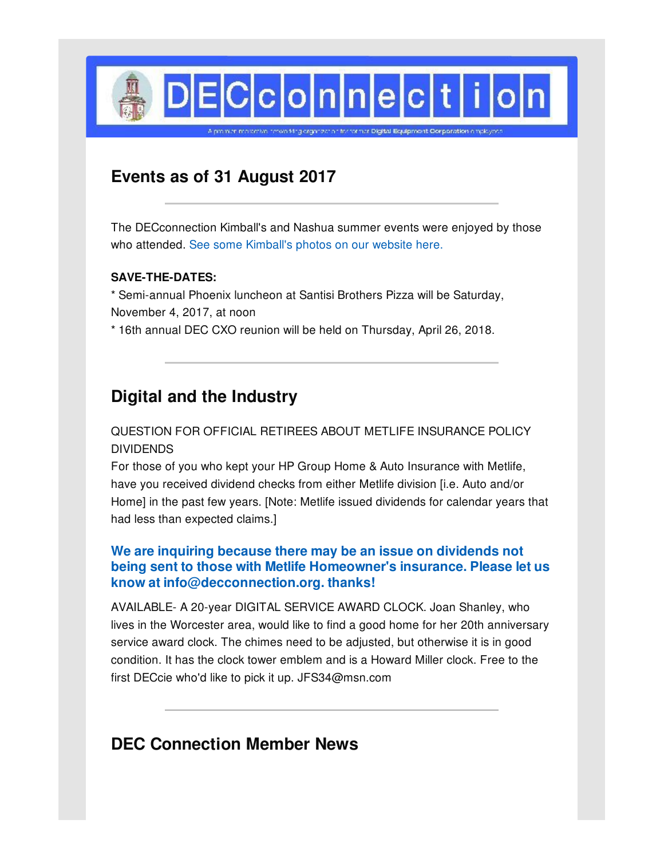

**Events as of 31 August 2017**

The DECconnection Kimball's and Nashua summer events were enjoyed by those who attended. See some [Kimball's](http://www.decconnection.org/events.htm) photos on our website here.

### **SAVE-THE-DATES:**

\* Semi-annual Phoenix luncheon at Santisi Brothers Pizza will be Saturday, November 4, 2017, at noon

\* 16th annual DEC CXO reunion will be held on Thursday, April 26, 2018.

# **Digital and the Industry**

## QUESTION FOR OFFICIAL RETIREES ABOUT METLIFE INSURANCE POLICY DIVIDENDS

For those of you who kept your HP Group Home & Auto Insurance with Metlife, have you received dividend checks from either Metlife division [i.e. Auto and/or Home] in the past few years. [Note: Metlife issued dividends for calendar years that had less than expected claims.]

## **We are inquiring because there may be an issue on dividends not being sent to those with Metlife Homeowner's insurance. Please let us know at info@decconnection.org. thanks!**

AVAILABLE- A 20-year DIGITAL SERVICE AWARD CLOCK. Joan Shanley, who lives in the Worcester area, would like to find a good home for her 20th anniversary service award clock. The chimes need to be adjusted, but otherwise it is in good condition. It has the clock tower emblem and is a Howard Miller clock. Free to the first DECcie who'd like to pick it up. JFS34@msn.com

# **DEC Connection Member News**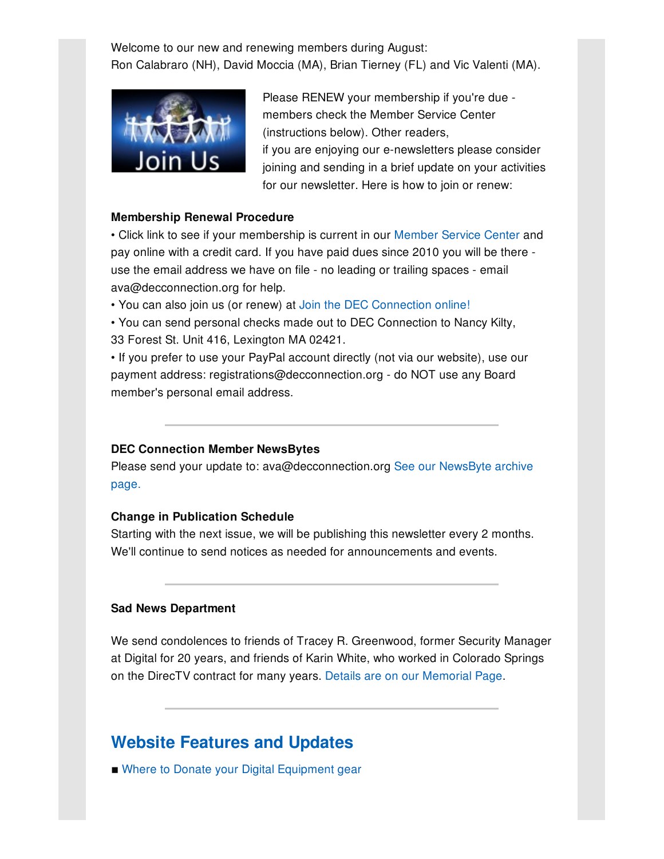Welcome to our new and renewing members during August: Ron Calabraro (NH), David Moccia (MA), Brian Tierney (FL) and Vic Valenti (MA).



Please RENEW your membership if you're due members check the Member Service Center (instructions below). Other readers, if you are enjoying our e-newsletters please consider joining and sending in a brief update on your activities for our newsletter. Here is how to join or renew:

#### **Membership Renewal Procedure**

• Click link to see if your membership is current in our [Member](http://www.decconnection.org/msclogin.php) Service Center and pay online with a credit card. If you have paid dues since 2010 you will be there use the email address we have on file - no leading or trailing spaces - email ava@decconnection.org for help.

• You can also join us (or renew) at Join the DEC [Connection](http://www.decconnection.org/join-online.htm) online!

• You can send personal checks made out to DEC Connection to Nancy Kilty, 33 Forest St. Unit 416, Lexington MA 02421.

• If you prefer to use your PayPal account directly (not via our website), use our payment address: registrations@decconnection.org - do NOT use any Board member's personal email address.

#### **DEC Connection Member NewsBytes**

Please send your update to: [ava@decconnection.org](http://www.decconnection.org/newsbytes.htm) See our NewsByte archive page.

#### **Change in Publication Schedule**

Starting with the next issue, we will be publishing this newsletter every 2 months. We'll continue to send notices as needed for announcements and events.

#### **Sad News Department**

We send condolences to friends of Tracey R. Greenwood, former Security Manager at Digital for 20 years, and friends of Karin White, who worked in Colorado Springs on the DirecTV contract for many years. Details are on our [Memorial](http://www.decconnection.org/memorials.htm) Page.

## **Website [Features](http://www.decconnection.org) and Updates**

■ Where to Donate your Digital [Equipment](http://www.decconnection.org/DECdonations.htm) gear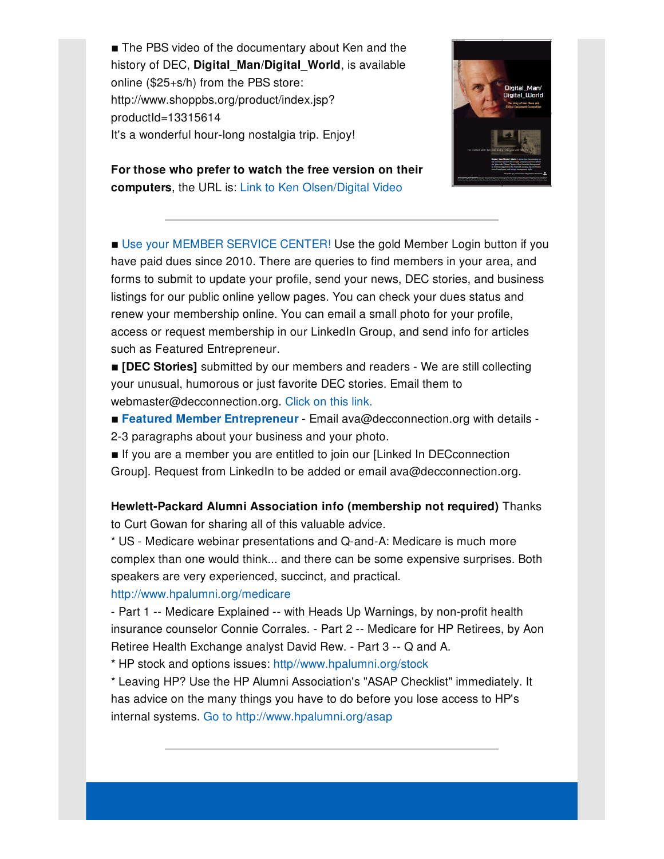■ The PBS video of the documentary about Ken and the history of DEC, **Digital\_Man/Digital\_World**, is available online (\$25+s/h) from the PBS store: http://www.shoppbs.org/product/index.jsp? productId=13315614 It's a wonderful hour-long nostalgia trip. Enjoy!



**For those who prefer to watch the free version on their computers**, the URL is: Link to Ken [Olsen/Digital](http://video.wfyi.org/video/2282149336/) Video

■ Use your [MEMBER](http://www.decconnection.org/msclogin.php) SERVICE CENTER! Use the gold Member Login button if you have paid dues since 2010. There are queries to find members in your area, and forms to submit to update your profile, send your news, DEC stories, and business listings for our public online yellow pages. You can check your dues status and renew your membership online. You can email a small photo for your profile, access or request membership in our LinkedIn Group, and send info for articles such as Featured Entrepreneur.

 $\blacksquare$  **[DEC Stories]** submitted by our members and readers - We are still collecting your unusual, humorous or just favorite DEC stories. Email them to webmaster@decconnection.org. [Click](http://www.decconnection.org/stories.htm) on this link.

- **Featured Member [Entrepreneur](http://www.decconnection.org/entrepreneur.htm)** Email ava@decconnection.org with details -
- 2-3 paragraphs about your business and your photo.
- **If you are a member you are entitled to join our [Linked In DECconnection** Group]. Request from LinkedIn to be added or email ava@decconnection.org.

## **Hewlett-Packard Alumni Association info (membership not required)** Thanks to Curt Gowan for sharing all of this valuable advice.

\* US - Medicare webinar presentations and Q-and-A: Medicare is much more complex than one would think... and there can be some expensive surprises. Both speakers are very experienced, succinct, and practical.

### <http://www.hpalumni.org/medicare>

- Part 1 -- Medicare Explained -- with Heads Up Warnings, by non-profit health insurance counselor Connie Corrales. - Part 2 -- Medicare for HP Retirees, by Aon Retiree Health Exchange analyst David Rew. - Part 3 -- Q and A.

\* HP stock and options issues: [http//www.hpalumni.org/stock](http://http//www.hpalumni.org/stock)

\* Leaving HP? Use the HP Alumni Association's "ASAP Checklist" immediately. It has advice on the many things you have to do before you lose access to HP's internal systems. Go to <http://www.hpalumni.org/asap>